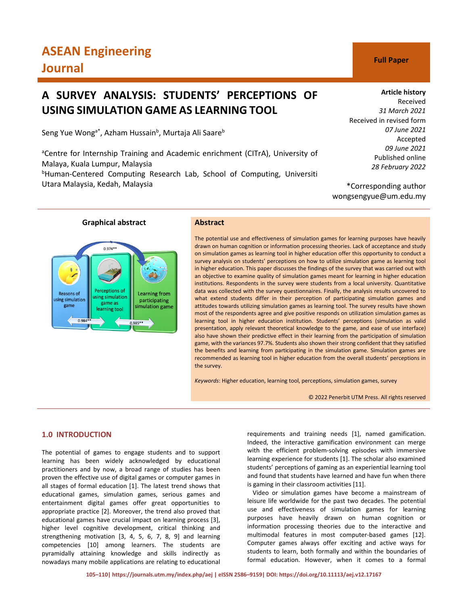# **ASEAN Engineering Journal C Full Paper**

## **A SURVEY ANALYSIS: STUDENTS' PERCEPTIONS OF USING SIMULATION GAME AS LEARNING TOOL**

Seng Yue Wong<sup>a\*</sup>, Azham Hussain<sup>b</sup>, Murtaja Ali Saare<sup>b</sup>

<sup>a</sup>Centre for Internship Training and Academic enrichment (CITrA), University of Malaya, Kuala Lumpur, Malaysia <sup>b</sup>Human-Centered Computing Research Lab, School of Computing, Universiti Utara Malaysia, Kedah, Malaysia

#### **Article history**

Received *31 March 2021* Received in revised form *07 June 2021* Accepted *09 June 2021* Published online *28 February 2022*

\*Corresponding author wongsengyue@um.edu.my

#### **Graphical abstract Abstract**

#### $0.974*$ Perceptions of Reasons of Learning from using simulation using simulation participating game as game simulation game learning tool 0.984 .985\*\*

The potential use and effectiveness of simulation games for learning purposes have heavily drawn on human cognition or information processing theories. Lack of acceptance and study on simulation games as learning tool in higher education offer this opportunity to conduct a survey analysis on students' perceptions on how to utilize simulation game as learning tool in higher education. This paper discusses the findings of the survey that was carried out with an objective to examine quality of simulation games meant for learning in higher education institutions. Respondents in the survey were students from a local university. Quantitative data was collected with the survey questionnaires. Finally, the analysis results uncovered to what extend students differ in their perception of participating simulation games and attitudes towards utilizing simulation games as learning tool. The survey results have shown most of the respondents agree and give positive responds on utilization simulation games as learning tool in higher education institution. Students' perceptions (simulation as valid presentation, apply relevant theoretical knowledge to the game, and ease of use interface) also have shown their predictive effect in their learning from the participation of simulation game, with the variances 97.7%. Students also shown their strong confident that they satisfied the benefits and learning from participating in the simulation game. Simulation games are recommended as learning tool in higher education from the overall students' perceptions in the survey.

*Keywords*: Higher education, learning tool, perceptions, simulation games, survey

© 2022 Penerbit UTM Press. All rights reserved

### **1.0 INTRODUCTION**

The potential of games to engage students and to support learning has been widely acknowledged by educational practitioners and by now, a broad range of studies has been proven the effective use of digital games or computer games in all stages of formal education [1]. The latest trend shows that educational games, simulation games, serious games and entertainment digital games offer great opportunities to appropriate practice [2]. Moreover, the trend also proved that educational games have crucial impact on learning process [3], higher level cognitive development, critical thinking and strengthening motivation [3, 4, 5, 6, 7, 8, 9] and learning competencies [10] among learners. The students are pyramidally attaining knowledge and skills indirectly as nowadays many mobile applications are relating to educational

requirements and training needs [1], named gamification. Indeed, the interactive gamification environment can merge with the efficient problem-solving episodes with immersive learning experience for students [1]. The scholar also examined students' perceptions of gaming as an experiential learning tool and found that students have learned and have fun when there is gaming in their classroom activities [11].

Video or simulation games have become a mainstream of leisure life worldwide for the past two decades. The potential use and effectiveness of simulation games for learning purposes have heavily drawn on human cognition or information processing theories due to the interactive and multimodal features in most computer-based games [12]. Computer games always offer exciting and active ways for students to learn, both formally and within the boundaries of formal education. However, when it comes to a formal



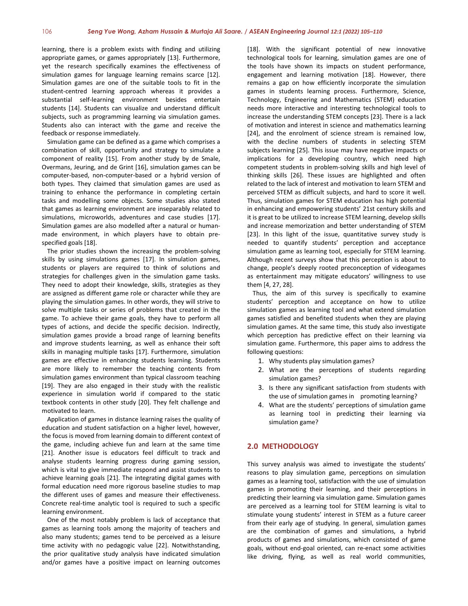learning, there is a problem exists with finding and utilizing appropriate games, or games appropriately [13]. Furthermore, yet the research specifically examines the effectiveness of simulation games for language learning remains scarce [12]. Simulation games are one of the suitable tools to fit in the student-centred learning approach whereas it provides a substantial self-learning environment besides entertain students [14]. Students can visualize and understand difficult subjects, such as programming learning via simulation games. Students also can interact with the game and receive the feedback or response immediately.

Simulation game can be defined as a game which comprises a combination of skill, opportunity and strategy to simulate a component of reality [15]. From another study by de Smale, Overmans, Jeuring, and de Grint [16], simulation games can be computer-based, non-computer-based or a hybrid version of both types. They claimed that simulation games are used as training to enhance the performance in completing certain tasks and modelling some objects. Some studies also stated that games as learning environment are inseparably related to simulations, microworlds, adventures and case studies [17]. Simulation games are also modelled after a natural or humanmade environment, in which players have to obtain prespecified goals [18].

The prior studies shown the increasing the problem-solving skills by using simulations games [17]. In simulation games, students or players are required to think of solutions and strategies for challenges given in the simulation game tasks. They need to adopt their knowledge, skills, strategies as they are assigned as different game role or character while they are playing the simulation games. In other words, they will strive to solve multiple tasks or series of problems that created in the game. To achieve their game goals, they have to perform all types of actions, and decide the specific decision. Indirectly, simulation games provide a broad range of learning benefits and improve students learning, as well as enhance their soft skills in managing multiple tasks [17]. Furthermore, simulation games are effective in enhancing students learning. Students are more likely to remember the teaching contents from simulation games environment than typical classroom teaching [19]. They are also engaged in their study with the realistic experience in simulation world if compared to the static textbook contents in other study [20]. They felt challenge and motivated to learn.

Application of games in distance learning raises the quality of education and student satisfaction on a higher level, however, the focus is moved from learning domain to different context of the game, including achieve fun and learn at the same time [21]. Another issue is educators feel difficult to track and analyse students learning progress during gaming session, which is vital to give immediate respond and assist students to achieve learning goals [21]. The integrating digital games with formal education need more rigorous baseline studies to map the different uses of games and measure their effectiveness. Concrete real-time analytic tool is required to such a specific learning environment.

One of the most notably problem is lack of acceptance that games as learning tools among the majority of teachers and also many students; games tend to be perceived as a leisure time activity with no pedagogic value [22]. Notwithstanding, the prior qualitative study analysis have indicated simulation and/or games have a positive impact on learning outcomes

[18]. With the significant potential of new innovative technological tools for learning, simulation games are one of the tools have shown its impacts on student performance, engagement and learning motivation [18]. However, there remains a gap on how efficiently incorporate the simulation games in students learning process. Furthermore, Science, Technology, Engineering and Mathematics (STEM) education needs more interactive and interesting technological tools to increase the understanding STEM concepts [23]. There is a lack of motivation and interest in science and mathematics learning [24], and the enrolment of science stream is remained low, with the decline numbers of students in selecting STEM subjects learning [25]. This issue may have negative impacts or implications for a developing country, which need high competent students in problem-solving skills and high level of thinking skills [26]. These issues are highlighted and often related to the lack of interest and motivation to learn STEM and perceived STEM as difficult subjects, and hard to score it well. Thus, simulation games for STEM education has high potential in enhancing and empowering students' 21st century skills and it is great to be utilized to increase STEM learning, develop skills and increase memorization and better understanding of STEM [23]. In this light of the issue, quantitative survey study is needed to quantify students' perception and acceptance simulation game as learning tool, especially for STEM learning. Although recent surveys show that this perception is about to change, people's deeply rooted preconception of videogames as entertainment may mitigate educators' willingness to use them [4, 27, 28].

Thus, the aim of this survey is specifically to examine students' perception and acceptance on how to utilize simulation games as learning tool and what extend simulation games satisfied and benefited students when they are playing simulation games. At the same time, this study also investigate which perception has predictive effect on their learning via simulation game. Furthermore, this paper aims to address the following questions:

- 1. Why students play simulation games?
- 2. What are the perceptions of students regarding simulation games?
- 3. Is there any significant satisfaction from students with the use of simulation games in promoting learning?
- 4. What are the students' perceptions of simulation game as learning tool in predicting their learning via simulation game?

#### **2.0 METHODOLOGY**

This survey analysis was aimed to investigate the students' reasons to play simulation game, perceptions on simulation games as a learning tool, satisfaction with the use of simulation games in promoting their learning, and their perceptions in predicting their learning via simulation game. Simulation games are perceived as a learning tool for STEM learning is vital to stimulate young students' interest in STEM as a future career from their early age of studying. In general, simulation games are the combination of games and simulations, a hybrid products of games and simulations, which consisted of game goals, without end-goal oriented, can re-enact some activities like driving, flying, as well as real world communities,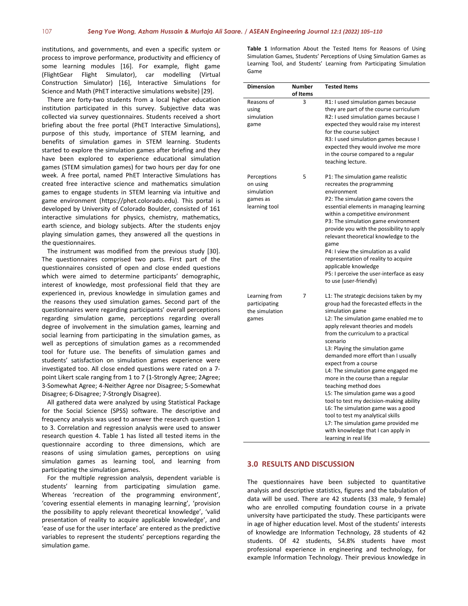institutions, and governments, and even a specific system or process to improve performance, productivity and efficiency of some learning modules [16]. For example, flight game (FlightGear Flight Simulator), car modelling (Virtual Construction Simulator) [16], Interactive Simulations for Science and Math (PhET interactive simulations website) [29].

There are forty-two students from a local higher education institution participated in this survey. Subjective data was collected via survey questionnaires. Students received a short briefing about the free portal (PhET Interactive Simulations), purpose of this study, importance of STEM learning, and benefits of simulation games in STEM learning. Students started to explore the simulation games after briefing and they have been explored to experience educational simulation games (STEM simulation games) for two hours per day for one week. A free portal, named PhET Interactive Simulations has created free interactive science and mathematics simulation games to engage students in STEM learning via intuitive and game environment (https://phet.colorado.edu). This portal is developed by University of Colorado Boulder, consisted of 161 interactive simulations for physics, chemistry, mathematics, earth science, and biology subjects. After the students enjoy playing simulation games, they answered all the questions in the questionnaires.

The instrument was modified from the previous study [30]. The questionnaires comprised two parts. First part of the questionnaires consisted of open and close ended questions which were aimed to determine participants' demographic, interest of knowledge, most professional field that they are experienced in, previous knowledge in simulation games and the reasons they used simulation games. Second part of the questionnaires were regarding participants' overall perceptions regarding simulation game, perceptions regarding overall degree of involvement in the simulation games, learning and social learning from participating in the simulation games, as well as perceptions of simulation games as a recommended tool for future use. The benefits of simulation games and students' satisfaction on simulation games experience were investigated too. All close ended questions were rated on a 7 point Likert scale ranging from 1 to 7 (1-Strongly Agree; 2Agree; 3-Somewhat Agree; 4-Neither Agree nor Disagree; 5-Somewhat Disagree; 6-Disagree; 7-Strongly Disagree).

All gathered data were analyzed by using Statistical Package for the Social Science (SPSS) software. The descriptive and frequency analysis was used to answer the research question 1 to 3. Correlation and regression analysis were used to answer research question 4. Table 1 has listed all tested items in the questionnaire according to three dimensions, which are reasons of using simulation games, perceptions on using simulation games as learning tool, and learning from participating the simulation games.

For the multiple regression analysis, dependent variable is students' learning from participating simulation game. Whereas 'recreation of the programming environment', 'covering essential elements in managing learning', 'provision the possibility to apply relevant theoretical knowledge', 'valid presentation of reality to acquire applicable knowledge', and 'ease of use for the user interface' are entered as the predictive variables to represent the students' perceptions regarding the simulation game.

**Table 1** Information About the Tested Items for Reasons of Using Simulation Games, Students' Perceptions of Using Simulation Games as Learning Tool, and Students' Learning from Participating Simulation Game

| <b>Dimension</b>                                                   | Number<br>of Items | <b>Tested Items</b>                                                                                                                                                                                                                                                                                                                                                                                                                                                                                                                                                                                                                                                                                           |
|--------------------------------------------------------------------|--------------------|---------------------------------------------------------------------------------------------------------------------------------------------------------------------------------------------------------------------------------------------------------------------------------------------------------------------------------------------------------------------------------------------------------------------------------------------------------------------------------------------------------------------------------------------------------------------------------------------------------------------------------------------------------------------------------------------------------------|
| Reasons of<br>using<br>simulation<br>game                          | 3                  | R1: I used simulation games because<br>they are part of the course curriculum<br>R2: I used simulation games because I<br>expected they would raise my interest<br>for the course subject<br>R3: I used simulation games because I<br>expected they would involve me more<br>in the course compared to a regular<br>teaching lecture.                                                                                                                                                                                                                                                                                                                                                                         |
| Perceptions<br>on using<br>simulation<br>games as<br>learning tool | 5                  | P1: The simulation game realistic<br>recreates the programming<br>environment<br>P2: The simulation game covers the<br>essential elements in managing learning<br>within a competitive environment<br>P3: The simulation game environment<br>provide you with the possibility to apply<br>relevant theoretical knowledge to the<br>game<br>P4: I view the simulation as a valid<br>representation of reality to acquire<br>applicable knowledge<br>P5: I perceive the user-interface as easy<br>to use (user-friendly)                                                                                                                                                                                        |
| Learning from<br>participating<br>the simulation<br>games          | 7                  | L1: The strategic decisions taken by my<br>group had the forecasted effects in the<br>simulation game<br>L2: The simulation game enabled me to<br>apply relevant theories and models<br>from the curriculum to a practical<br>scenario<br>L3: Playing the simulation game<br>demanded more effort than I usually<br>expect from a course<br>L4: The simulation game engaged me<br>more in the course than a regular<br>teaching method does<br>L5: The simulation game was a good<br>tool to test my decision-making ability<br>L6: The simulation game was a good<br>tool to test my analytical skills<br>L7: The simulation game provided me<br>with knowledge that I can apply in<br>learning in real life |

#### **3.0 RESULTS AND DISCUSSION**

The questionnaires have been subjected to quantitative analysis and descriptive statistics, figures and the tabulation of data will be used. There are 42 students (33 male, 9 female) who are enrolled computing foundation course in a private university have participated the study. These participants were in age of higher education level. Most of the students' interests of knowledge are Information Technology, 28 students of 42 students. Of 42 students, 54.8% students have most professional experience in engineering and technology, for example Information Technology. Their previous knowledge in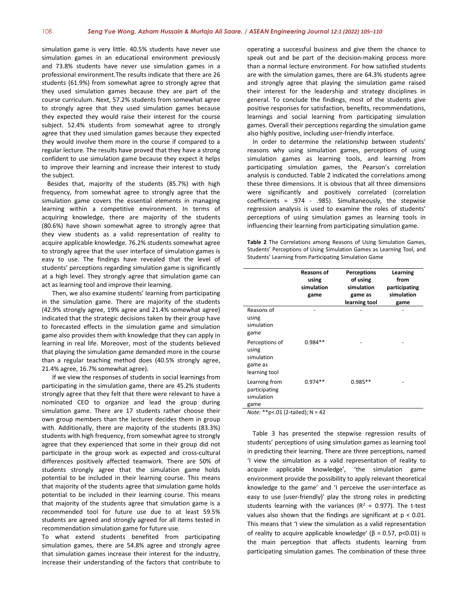simulation game is very little. 40.5% students have never use simulation games in an educational environment previously and 73.8% students have never use simulation games in a professional environment.The results indicate that there are 26 students (61.9%) from somewhat agree to strongly agree that they used simulation games because they are part of the course curriculum. Next, 57.2% students from somewhat agree to strongly agree that they used simulation games because they expected they would raise their interest for the course subject. 52.4% students from somewhat agree to strongly agree that they used simulation games because they expected they would involve them more in the course if compared to a regular lecture. The results have proved that they have a strong confident to use simulation game because they expect it helps to improve their learning and increase their interest to study the subject.

Besides that, majority of the students (85.7%) with high frequency, from somewhat agree to strongly agree that the simulation game covers the essential elements in managing learning within a competitive environment. In terms of acquiring knowledge, there are majority of the students (80.6%) have shown somewhat agree to strongly agree that they view students as a valid representation of reality to acquire applicable knowledge. 76.2% students somewhat agree to strongly agree that the user interface of simulation games is easy to use. The findings have revealed that the level of students' perceptions regarding simulation game is significantly at a high level. They strongly agree that simulation game can act as learning tool and improve their learning.

Then, we also examine students' learning from participating in the simulation game. There are majority of the students (42.9% strongly agree, 19% agree and 21.4% somewhat agree) indicated that the strategic decisions taken by their group have to forecasted effects in the simulation game and simulation game also provides them with knowledge that they can apply in learning in real life. Moreover, most of the students believed that playing the simulation game demanded more in the course than a regular teaching method does (40.5% strongly agree, 21.4% agree, 16.7% somewhat agree).

If we view the responses of students in social learnings from participating in the simulation game, there are 45.2% students strongly agree that they felt that there were relevant to have a nominated CEO to organize and lead the group during simulation game. There are 17 students rather choose their own group members than the lecturer decides them in group with. Additionally, there are majority of the students (83.3%) students with high frequency, from somewhat agree to strongly agree that they experienced that some in their group did not participate in the group work as expected and cross-cultural differences positively affected teamwork. There are 50% of students strongly agree that the simulation game holds potential to be included in their learning course. This means that majority of the students agree that simulation game holds potential to be included in their learning course. This means that majority of the students agree that simulation game is a recommended tool for future use due to at least 59.5% students are agreed and strongly agreed for all items tested in recommendation simulation game for future use.

To what extend students benefited from participating simulation games, there are 54.8% agree and strongly agree that simulation games increase their interest for the industry, increase their understanding of the factors that contribute to operating a successful business and give them the chance to speak out and be part of the decision-making process more than a normal lecture environment. For how satisfied students are with the simulation games, there are 64.3% students agree and strongly agree that playing the simulation game raised their interest for the leadership and strategy disciplines in general. To conclude the findings, most of the students give positive responses for satisfaction, benefits, recommendations, learnings and social learning from participating simulation games. Overall their perceptions regarding the simulation game also highly positive, including user-friendly interface.

In order to determine the relationship between students' reasons why using simulation games, perceptions of using simulation games as learning tools, and learning from participating simulation games, the Pearson's correlation analysis is conducted. Table 2 indicated the correlations among these three dimensions. It is obvious that all three dimensions were significantly and positively correlated (correlation coefficients = .974 - .985). Simultaneously, the stepwise regression analysis is used to examine the roles of students' perceptions of using simulation games as learning tools in influencing their learning from participating simulation game.

**Table 2** The Correlations among Reasons of Using Simulation Games, Students' Perceptions of Using Simulation Games as Learning Tool, and Students' Learning from Participating Simulation Game

|                                                                   | <b>Reasons of</b><br>using<br>simulation<br>game | <b>Perceptions</b><br>of using<br>simulation<br>game as<br>learning tool | Learning<br>from<br>participating<br>simulation<br>game |
|-------------------------------------------------------------------|--------------------------------------------------|--------------------------------------------------------------------------|---------------------------------------------------------|
| Reasons of<br>using<br>simulation<br>game                         |                                                  |                                                                          |                                                         |
| Perceptions of<br>using<br>simulation<br>game as<br>learning tool | $0.984**$                                        |                                                                          |                                                         |
| Learning from<br>participating<br>simulation<br>game              | $0.974**$<br>$\cdots$                            | $0.985**$                                                                |                                                         |

*Note:* \*\*p<.01 (2-tailed); N = 42

Table 3 has presented the stepwise regression results of students' perceptions of using simulation games as learning tool in predicting their learning. There are three perceptions, named 'I view the simulation as a valid representation of reality to acquire applicable knowledge', 'the simulation game environment provide the possibility to apply relevant theoretical knowledge to the game' and 'I perceive the user-interface as easy to use (user-friendly)' play the strong roles in predicting students learning with the variances ( $R^2$  = 0.977). The t-test values also shown that the findings are significant at  $p < 0.01$ . This means that 'I view the simulation as a valid representation of reality to acquire applicable knowledge' ( $\beta$  = 0.57, p<0.01) is the main perception that affects students learning from participating simulation games. The combination of these three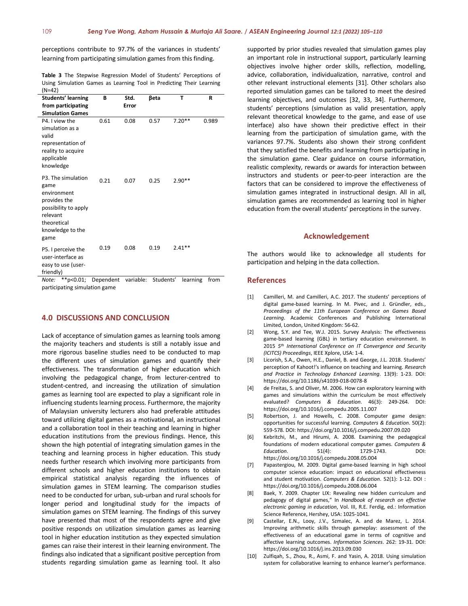perceptions contribute to 97.7% of the variances in students' learning from participating simulation games from this finding.

**Table 3** The Stepwise Regression Model of Students' Perceptions of Using Simulation Games as Learning Tool in Predicting Their Learning (N=42)

| <b>Students' learning</b>                                                                                                                | в    | Std.  | βeta | т        | R     |
|------------------------------------------------------------------------------------------------------------------------------------------|------|-------|------|----------|-------|
| from participating                                                                                                                       |      | Error |      |          |       |
| <b>Simulation Games</b>                                                                                                                  |      |       |      |          |       |
| P4. I view the<br>simulation as a<br>valid<br>representation of                                                                          | 0.61 | 0.08  | 0.57 | $7.20**$ | 0.989 |
| reality to acquire<br>applicable<br>knowledge                                                                                            |      |       |      |          |       |
| P3. The simulation<br>game<br>environment<br>provides the<br>possibility to apply<br>relevant<br>theoretical<br>knowledge to the<br>game | 0.21 | 0.07  | 0.25 | $2.90**$ |       |
| P5. I perceive the<br>user-interface as<br>easy to use (user-<br>friendly)                                                               | 0.19 | 0.08  | 0.19 | $2.41**$ |       |

*Note:* \*\*p<0.01; Dependent variable: Students' learning from participating simulation game

#### **4.0 DISCUSSIONS AND CONCLUSION**

Lack of acceptance of simulation games as learning tools among the majority teachers and students is still a notably issue and more rigorous baseline studies need to be conducted to map the different uses of simulation games and quantify their effectiveness. The transformation of higher education which involving the pedagogical change, from lecturer-centred to student-centred, and increasing the utilization of simulation games as learning tool are expected to play a significant role in influencing students learning process. Furthermore, the majority of Malaysian university lecturers also had preferable attitudes toward utilizing digital games as a motivational, an instructional and a collaboration tool in their teaching and learning in higher education institutions from the previous findings. Hence, this shown the high potential of integrating simulation games in the teaching and learning process in higher education. This study needs further research which involving more participants from different schools and higher education institutions to obtain empirical statistical analysis regarding the influences of simulation games in STEM learning. The comparison studies need to be conducted for urban, sub-urban and rural schools for longer period and longitudinal study for the impacts of simulation games on STEM learning. The findings of this survey have presented that most of the respondents agree and give positive responds on utilization simulation games as learning tool in higher education institution as they expected simulation games can raise their interest in their learning environment. The findings also indicated that a significant positive perception from students regarding simulation game as learning tool. It also supported by prior studies revealed that simulation games play an important role in instructional support, particularly learning objectives involve higher order skills, reflection, modelling, advice, collaboration, individualization, narrative, control and other relevant instructional elements [31]. Other scholars also reported simulation games can be tailored to meet the desired learning objectives, and outcomes [32, 33, 34]. Furthermore, students' perceptions (simulation as valid presentation, apply relevant theoretical knowledge to the game, and ease of use interface) also have shown their predictive effect in their learning from the participation of simulation game, with the variances 97.7%. Students also shown their strong confident that they satisfied the benefits and learning from participating in the simulation game. Clear guidance on course information, realistic complexity, rewards or awards for interaction between instructors and students or peer-to-peer interaction are the factors that can be considered to improve the effectiveness of simulation games integrated in instructional design. All in all, simulation games are recommended as learning tool in higher education from the overall students' perceptions in the survey.

#### **Acknowledgement**

The authors would like to acknowledge all students for participation and helping in the data collection.

#### **References**

- [1] Camilleri, M. and Camilleri, A.C. 2017. The students' perceptions of digital game-based learning. In M. Pivec, and J. Gründler, eds., *Proceedings of the 11th European Conference on Games Based Learning*. Academic Conferences and Publishing International Limited, London, United Kingdom: 56-62.
- [2] Wong, S.Y. and Tee, W.J. 2015. Survey Analysis: The effectiveness game-based learning (GBL) in tertiary education environment. In 2015 *5th International Conference on IT Convergence and Security (ICITCS) Proceedings*, IEEE Xplore, USA: 1-4.
- [3] Licorish, S.A., Owen, H.E., Daniel, B. and George, J.L. 2018. Students' perception of Kahoot!'s influence on teaching and learning. *Research and Practice in Technology Enhanced Learning*. 13(9): 1-23. DOI: https://doi.org/10.1186/s41039-018-0078-8
- [4] de Freitas, S. and Oliver, M. 2006. How can exploratory learning with games and simulations within the curriculum be most effectively evaluated? *Computers & Education*. 46(3): 249-264. DOI: https://doi.org/10.1016/j.compedu.2005.11.007
- [5] Robertson, J. and Howells, C. 2008. Computer game design: opportunities for successful learning. *Computers & Education*. 50(2): 559-578. DOI: https://doi.org/10.1016/j.compedu.2007.09.020
- [6] Kebritchi, M., and Hirumi, A. 2008. Examining the pedagogical foundations of modern educational computer games. *Computers & Education*. 51(4): 1729-1743. DOI: https://doi.org/10.1016/j.compedu.2008.05.004
- [7] Papastergiou, M. 2009. Digital game-based learning in high school computer science education: impact on educational effectiveness and student motivation. *Computers & Education*. 52(1): 1-12. DOI : https://doi.org/10.1016/j.compedu.2008.06.004
- [8] Baek, Y. 2009. Chapter LIX: Revealing new hidden curriculum and pedagogy of digital games," In *Handbook of research on effective electronic gaming in education*, Vol. III, R.E. Ferdig, ed.: Information Science Reference, Hershey, USA: 1025-1041.
- Castellar, E.N., Looy, J.V., Szmalec, A. and de Marez, L. 2014. Improving arithmetic skills through gameplay: assessment of the effectiveness of an educational game in terms of cognitive and affective learning outcomes. *Information Sciences*. 262: 19-31. DOI: https://doi.org/10.1016/j.ins.2013.09.030
- [10] Zulfiqah, S., Zhou, R., Asmi, F. and Yasin, A. 2018. Using simulation system for collaborative learning to enhance learner's performance.